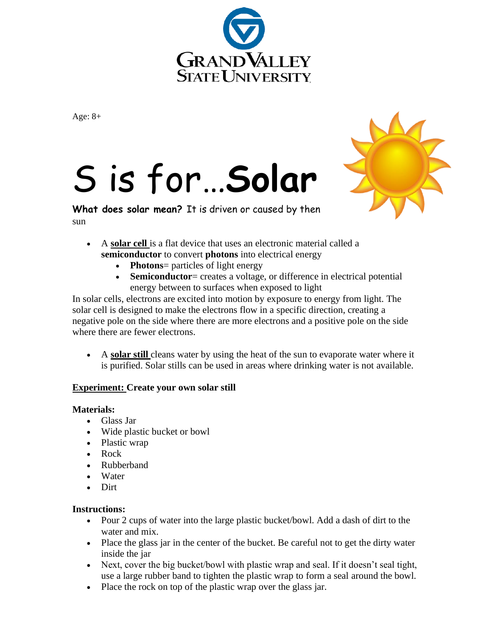

Age: 8+

## S is for…**Solar**



**What does solar mean?** It is driven or caused by then sun

- A **solar cell** is a flat device that uses an electronic material called a **semiconductor** to convert **photons** into electrical energy
	- **Photons**= particles of light energy
	- **Semiconductor**= creates a voltage, or difference in electrical potential energy between to surfaces when exposed to light

In solar cells, electrons are excited into motion by exposure to energy from light. The solar cell is designed to make the electrons flow in a specific direction, creating a negative pole on the side where there are more electrons and a positive pole on the side where there are fewer electrons.

• A **solar still** cleans [water](https://en.wikipedia.org/wiki/Distillation) by using the heat of the [sun](https://en.wikipedia.org/wiki/Sun) to evaporate water where it is purified. Solar stills can be used in areas where drinking water is not available.

## **Experiment: Create your own solar still**

## **Materials:**

- Glass Jar
- Wide plastic bucket or bowl
- Plastic wrap
- Rock
- Rubberband
- Water
- Dirt

## **Instructions:**

- Pour 2 cups of water into the large plastic bucket/bowl. Add a dash of dirt to the water and mix.
- Place the glass jar in the center of the bucket. Be careful not to get the dirty water inside the jar
- Next, cover the big bucket/bowl with plastic wrap and seal. If it doesn't seal tight, use a large rubber band to tighten the plastic wrap to form a seal around the bowl.
- Place the rock on top of the plastic wrap over the glass jar.